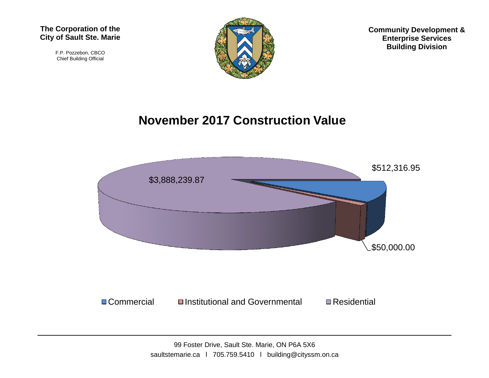F.P. Pozzebon, CBCO Chief Building Official



**Community Development & Enterprise Services Building Division**

## **November 2017 Construction Value**

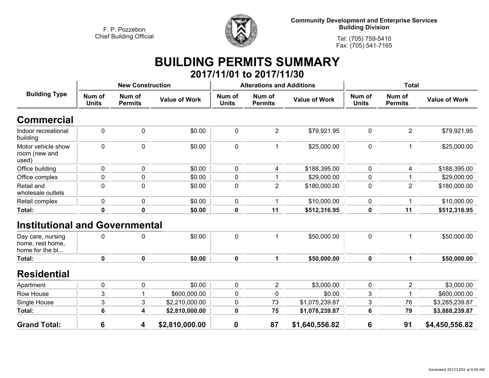

**Community Development and Enterprise Services Building Division**

**Tel: (705) 759-5410Fax: (705) 541-7165**

## **BUILDING PERMITS SUMMARY 2017/11/01 to 2017/11/30**

|                                                          | <b>New Construction</b> |                          |                      |                        | <b>Alterations and Additions</b> |                      | <b>Total</b>           |                          |                      |
|----------------------------------------------------------|-------------------------|--------------------------|----------------------|------------------------|----------------------------------|----------------------|------------------------|--------------------------|----------------------|
| <b>Building Type</b>                                     | Num of<br><b>Units</b>  | Num of<br><b>Permits</b> | <b>Value of Work</b> | Num of<br><b>Units</b> | Num of<br><b>Permits</b>         | <b>Value of Work</b> | Num of<br><b>Units</b> | Num of<br><b>Permits</b> | <b>Value of Work</b> |
| <b>Commercial</b>                                        |                         |                          |                      |                        |                                  |                      |                        |                          |                      |
| Indoor recreational<br>building                          | 0                       | $\mathbf 0$              | \$0.00               | $\mathbf 0$            | $\overline{2}$                   | \$79,921.95          | $\mathbf 0$            | $\overline{2}$           | \$79,921.95          |
| Motor vehicle show<br>room (new and<br>used)             | 0                       | $\pmb{0}$                | \$0.00               | $\mathbf 0$            | 1                                | \$25,000.00          | $\mathbf 0$            | $\mathbf{1}$             | \$25,000.00          |
| Office building                                          | 0                       | $\mathbf 0$              | \$0.00               | $\mathbf 0$            | 4                                | \$188,395.00         | $\mathbf 0$            | $\overline{4}$           | \$188,395.00         |
| Office complex                                           | 0                       | 0                        | \$0.00               | 0                      |                                  | \$29,000.00          | $\pmb{0}$              | 1                        | \$29,000.00          |
| Retail and<br>wholesale outlets                          | 0                       | $\mathbf 0$              | \$0.00               | $\mathbf 0$            | $\overline{2}$                   | \$180,000.00         | $\mathbf 0$            | $\overline{2}$           | \$180,000.00         |
| Retail complex                                           | 0                       | 0                        | \$0.00               | 0                      | 1                                | \$10,000.00          | $\pmb{0}$              | 1                        | \$10,000.00          |
| Total:                                                   | 0                       | $\bf{0}$                 | \$0.00               | $\mathbf 0$            | 11                               | \$512,316.95         | $\mathbf 0$            | 11                       | \$512,316.95         |
| <b>Institutional and Governmental</b>                    |                         |                          |                      |                        |                                  |                      |                        |                          |                      |
| Day care, nursing<br>home, rest home,<br>home for the bl | $\Omega$                | $\mathbf 0$              | \$0.00               | $\mathbf 0$            |                                  | \$50,000.00          | $\mathbf 0$            | $\mathbf 1$              | \$50,000.00          |
| Total:                                                   | $\mathbf 0$             | $\mathbf 0$              | \$0.00               | $\mathbf 0$            | $\mathbf{1}$                     | \$50,000.00          | $\mathbf 0$            | $\mathbf{1}$             | \$50,000.00          |
| <b>Residential</b>                                       |                         |                          |                      |                        |                                  |                      |                        |                          |                      |
| Apartment                                                | $\pmb{0}$               | $\mathbf 0$              | \$0.00               | 0                      | $\overline{c}$                   | \$3,000.00           | $\mathbf 0$            | $\overline{2}$           | \$3,000.00           |
| Row House                                                | 3                       | 1                        | \$600,000.00         | 0                      | 0                                | \$0.00               | 3                      | 1                        | \$600,000.00         |
| Single House                                             | 3                       | 3                        | \$2,210,000.00       | 0                      | 73                               | \$1,075,239.87       | 3                      | 76                       | \$3,285,239.87       |
| Total:                                                   | 6                       | $\overline{\mathbf{4}}$  | \$2,810,000.00       | 0                      | 75                               | \$1,078,239.87       | 6                      | 79                       | \$3,888,239.87       |
| <b>Grand Total:</b>                                      | 6                       | 4                        | \$2,810,000.00       | $\boldsymbol{0}$       | 87                               | \$1,640,556.82       | 6                      | 91                       | \$4,450,556.82       |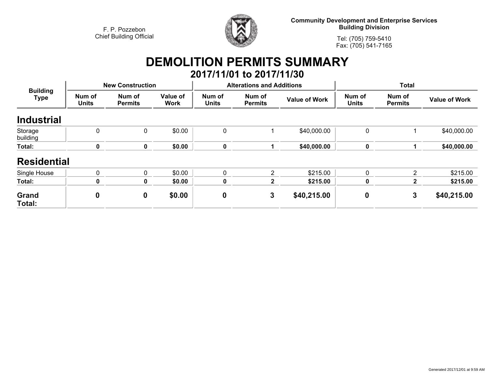

**Community Development and Enterprise Services Building Division**

**Tel: (705) 759-5410Fax: (705) 541-7165**

## **DEMOLITION PERMITS SUMMARY**

| 2017/11/01 to 2017/11/30       |                        |                          |                  |                        |                                  |                      |                        |                          |                      |  |  |
|--------------------------------|------------------------|--------------------------|------------------|------------------------|----------------------------------|----------------------|------------------------|--------------------------|----------------------|--|--|
| <b>Building</b><br><b>Type</b> |                        | <b>New Construction</b>  |                  |                        | <b>Alterations and Additions</b> |                      | <b>Total</b>           |                          |                      |  |  |
|                                | Num of<br><b>Units</b> | Num of<br><b>Permits</b> | Value of<br>Work | Num of<br><b>Units</b> | Num of<br><b>Permits</b>         | <b>Value of Work</b> | Num of<br><b>Units</b> | Num of<br><b>Permits</b> | <b>Value of Work</b> |  |  |
| <b>Industrial</b>              |                        |                          |                  |                        |                                  |                      |                        |                          |                      |  |  |
| Storage<br>building            | 0                      | 0                        | \$0.00           | 0                      |                                  | \$40,000.00          | $\mathbf 0$            |                          | \$40,000.00          |  |  |
| Total:                         | $\mathbf 0$            | 0                        | \$0.00           | $\mathbf 0$            |                                  | \$40,000.00          | 0                      |                          | \$40,000.00          |  |  |
| <b>Residential</b>             |                        |                          |                  |                        |                                  |                      |                        |                          |                      |  |  |
| Single House                   | 0                      | $\mathbf{0}$             | \$0.00           | 0                      | $\overline{2}$                   | \$215.00             | 0                      | $\overline{2}$           | \$215.00             |  |  |
| Total:                         | $\mathbf 0$            | 0                        | \$0.00           | $\mathbf 0$            | $\mathbf{2}$                     | \$215.00             | 0                      | $\mathbf{2}$             | \$215.00             |  |  |
| <b>Grand</b><br>Total:         | $\mathbf 0$            | $\mathbf 0$              | \$0.00           | $\boldsymbol{0}$       | 3                                | \$40,215.00          | 0                      | 3                        | \$40,215.00          |  |  |